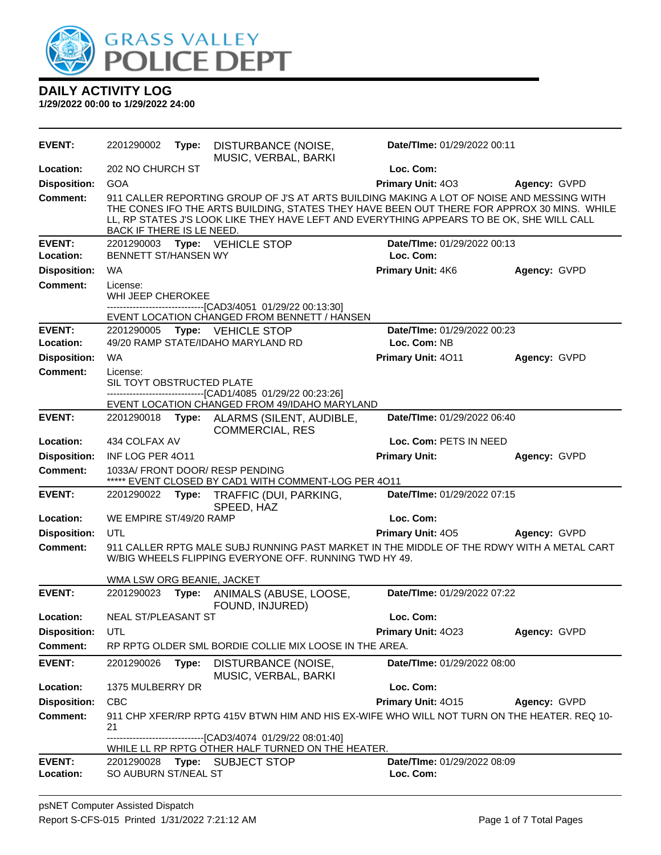

| <b>EVENT:</b>              | 2201290002                                                                                          | Type: | DISTURBANCE (NOISE,<br>MUSIC, VERBAL, BARKI                                                                                                                                                                                                                                          | Date/TIme: 01/29/2022 00:11              |              |
|----------------------------|-----------------------------------------------------------------------------------------------------|-------|--------------------------------------------------------------------------------------------------------------------------------------------------------------------------------------------------------------------------------------------------------------------------------------|------------------------------------------|--------------|
| Location:                  | 202 NO CHURCH ST                                                                                    |       |                                                                                                                                                                                                                                                                                      | Loc. Com:                                |              |
| <b>Disposition:</b>        | <b>GOA</b>                                                                                          |       |                                                                                                                                                                                                                                                                                      | Primary Unit: 403                        | Agency: GVPD |
| <b>Comment:</b>            | BACK IF THERE IS LE NEED.                                                                           |       | 911 CALLER REPORTING GROUP OF J'S AT ARTS BUILDING MAKING A LOT OF NOISE AND MESSING WITH<br>THE CONES IFO THE ARTS BUILDING, STATES THEY HAVE BEEN OUT THERE FOR APPROX 30 MINS. WHILE<br>LL, RP STATES J'S LOOK LIKE THEY HAVE LEFT AND EVERYTHING APPEARS TO BE OK, SHE WILL CALL |                                          |              |
| <b>EVENT:</b><br>Location: | <b>BENNETT ST/HANSEN WY</b>                                                                         |       | 2201290003 Type: VEHICLE STOP                                                                                                                                                                                                                                                        | Date/TIme: 01/29/2022 00:13<br>Loc. Com: |              |
| <b>Disposition:</b>        | WA                                                                                                  |       |                                                                                                                                                                                                                                                                                      | Primary Unit: 4K6                        | Agency: GVPD |
| <b>Comment:</b>            | License:<br>WHI JEEP CHEROKEE                                                                       |       | --------------------------------[CAD3/4051 01/29/22 00:13:30]<br>EVENT LOCATION CHANGED FROM BENNETT / HANSEN                                                                                                                                                                        |                                          |              |
| <b>EVENT:</b>              |                                                                                                     |       | 2201290005 Type: VEHICLE STOP                                                                                                                                                                                                                                                        | Date/TIme: 01/29/2022 00:23              |              |
| Location:                  |                                                                                                     |       | 49/20 RAMP STATE/IDAHO MARYLAND RD                                                                                                                                                                                                                                                   | Loc. Com: NB                             |              |
| <b>Disposition:</b>        | WA                                                                                                  |       |                                                                                                                                                                                                                                                                                      | Primary Unit: 4011                       | Agency: GVPD |
| <b>Comment:</b>            | License:<br>SIL TOYT OBSTRUCTED PLATE                                                               |       | --------------------------------[CAD1/4085 01/29/22 00:23:26]<br>EVENT LOCATION CHANGED FROM 49/IDAHO MARYLAND                                                                                                                                                                       |                                          |              |
| <b>EVENT:</b>              | 2201290018                                                                                          |       | Type: ALARMS (SILENT, AUDIBLE,                                                                                                                                                                                                                                                       | Date/TIme: 01/29/2022 06:40              |              |
|                            |                                                                                                     |       | <b>COMMERCIAL, RES</b>                                                                                                                                                                                                                                                               |                                          |              |
| Location:                  | 434 COLFAX AV                                                                                       |       |                                                                                                                                                                                                                                                                                      | Loc. Com: PETS IN NEED                   |              |
| <b>Disposition:</b>        | INF LOG PER 4011                                                                                    |       |                                                                                                                                                                                                                                                                                      | <b>Primary Unit:</b>                     | Agency: GVPD |
| <b>Comment:</b>            |                                                                                                     |       | 1033A/ FRONT DOOR/ RESP PENDING<br>***** EVENT CLOSED BY CAD1 WITH COMMENT-LOG PER 4011                                                                                                                                                                                              |                                          |              |
| <b>EVENT:</b>              | 2201290022                                                                                          | Type: | TRAFFIC (DUI, PARKING,<br>SPEED, HAZ                                                                                                                                                                                                                                                 | Date/TIme: 01/29/2022 07:15              |              |
| Location:                  | WE EMPIRE ST/49/20 RAMP                                                                             |       |                                                                                                                                                                                                                                                                                      | Loc. Com:                                |              |
| <b>Disposition:</b>        | UTL                                                                                                 |       |                                                                                                                                                                                                                                                                                      | Primary Unit: 405                        | Agency: GVPD |
| <b>Comment:</b>            |                                                                                                     |       | 911 CALLER RPTG MALE SUBJ RUNNING PAST MARKET IN THE MIDDLE OF THE RDWY WITH A METAL CART<br>W/BIG WHEELS FLIPPING EVERYONE OFF. RUNNING TWD HY 49.                                                                                                                                  |                                          |              |
|                            | WMA LSW ORG BEANIE, JACKET                                                                          |       |                                                                                                                                                                                                                                                                                      |                                          |              |
| <b>EVENT:</b>              | 2201290023                                                                                          | Type: | ANIMALS (ABUSE, LOOSE,<br>FOUND, INJURED)                                                                                                                                                                                                                                            | Date/TIme: 01/29/2022 07:22              |              |
| Location:                  | NEAL ST/PLEASANT ST                                                                                 |       |                                                                                                                                                                                                                                                                                      | Loc. Com:                                |              |
| <b>Disposition:</b>        | UTL                                                                                                 |       |                                                                                                                                                                                                                                                                                      | Primary Unit: 4023                       | Agency: GVPD |
| <b>Comment:</b>            |                                                                                                     |       | RP RPTG OLDER SML BORDIE COLLIE MIX LOOSE IN THE AREA.                                                                                                                                                                                                                               |                                          |              |
| <b>EVENT:</b>              | 2201290026                                                                                          | Type: | DISTURBANCE (NOISE,<br>MUSIC, VERBAL, BARKI                                                                                                                                                                                                                                          | Date/TIme: 01/29/2022 08:00              |              |
| Location:                  | 1375 MULBERRY DR                                                                                    |       |                                                                                                                                                                                                                                                                                      | Loc. Com:                                |              |
| <b>Disposition:</b>        | <b>CBC</b>                                                                                          |       |                                                                                                                                                                                                                                                                                      | Primary Unit: 4015                       | Agency: GVPD |
| <b>Comment:</b>            | 21                                                                                                  |       | 911 CHP XFER/RP RPTG 415V BTWN HIM AND HIS EX-WIFE WHO WILL NOT TURN ON THE HEATER. REQ 10-                                                                                                                                                                                          |                                          |              |
|                            | -----------------[CAD3/4074_01/29/22_08:01:40]<br>WHILE LL RP RPTG OTHER HALF TURNED ON THE HEATER. |       |                                                                                                                                                                                                                                                                                      |                                          |              |
| <b>EVENT:</b><br>Location: | 2201290028<br>SO AUBURN ST/NEAL ST                                                                  |       | Type: SUBJECT STOP                                                                                                                                                                                                                                                                   | Date/TIme: 01/29/2022 08:09<br>Loc. Com: |              |
|                            |                                                                                                     |       |                                                                                                                                                                                                                                                                                      |                                          |              |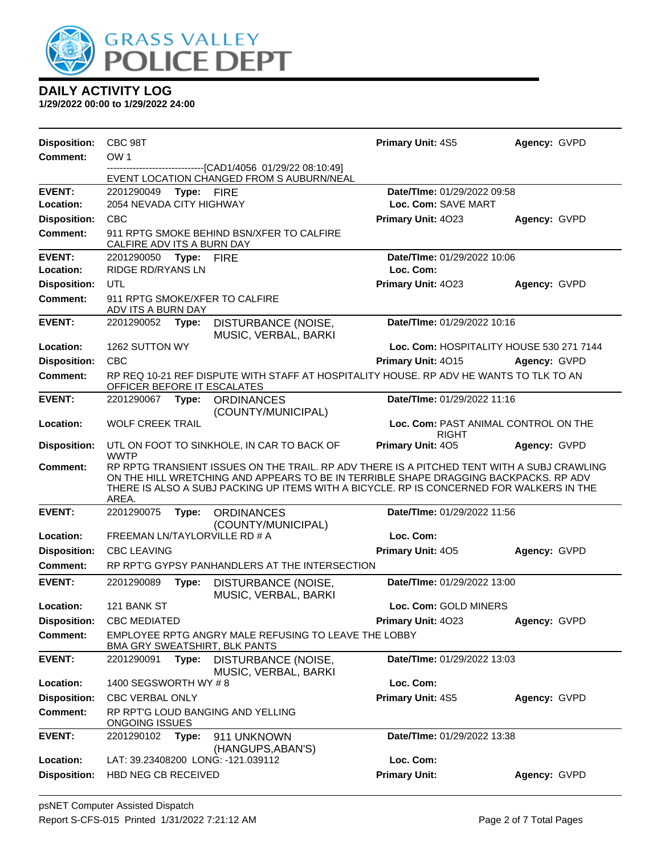

| <b>Disposition:</b> | CBC 98T                                                                                                                                                                                                                                                                                 |            |                                                                                               | <b>Primary Unit: 4S5</b>                 | Agency: GVPD |  |
|---------------------|-----------------------------------------------------------------------------------------------------------------------------------------------------------------------------------------------------------------------------------------------------------------------------------------|------------|-----------------------------------------------------------------------------------------------|------------------------------------------|--------------|--|
| <b>Comment:</b>     | OW <sub>1</sub>                                                                                                                                                                                                                                                                         |            |                                                                                               |                                          |              |  |
|                     |                                                                                                                                                                                                                                                                                         |            | -------------------[CAD1/4056_01/29/22_08:10:49]<br>EVENT LOCATION CHANGED FROM S AUBURN/NEAL |                                          |              |  |
| <b>EVENT:</b>       | 2201290049                                                                                                                                                                                                                                                                              | Type: FIRE |                                                                                               | Date/TIme: 01/29/2022 09:58              |              |  |
| Location:           | 2054 NEVADA CITY HIGHWAY                                                                                                                                                                                                                                                                |            |                                                                                               | Loc. Com: SAVE MART                      |              |  |
| <b>Disposition:</b> | <b>CBC</b>                                                                                                                                                                                                                                                                              |            |                                                                                               | <b>Primary Unit: 4023</b>                | Agency: GVPD |  |
| <b>Comment:</b>     | CALFIRE ADV ITS A BURN DAY                                                                                                                                                                                                                                                              |            | 911 RPTG SMOKE BEHIND BSN/XFER TO CALFIRE                                                     |                                          |              |  |
| <b>EVENT:</b>       | 2201290050                                                                                                                                                                                                                                                                              | Type: FIRE |                                                                                               | Date/TIme: 01/29/2022 10:06              |              |  |
| Location:           | <b>RIDGE RD/RYANS LN</b>                                                                                                                                                                                                                                                                |            |                                                                                               | Loc. Com:                                |              |  |
| <b>Disposition:</b> | UTL                                                                                                                                                                                                                                                                                     |            |                                                                                               | Primary Unit: 4023                       | Agency: GVPD |  |
| <b>Comment:</b>     | ADV ITS A BURN DAY                                                                                                                                                                                                                                                                      |            | 911 RPTG SMOKE/XFER TO CALFIRE                                                                |                                          |              |  |
| <b>EVENT:</b>       | 2201290052                                                                                                                                                                                                                                                                              | Type:      | DISTURBANCE (NOISE,<br>MUSIC, VERBAL, BARKI                                                   | Date/TIme: 01/29/2022 10:16              |              |  |
| Location:           | 1262 SUTTON WY                                                                                                                                                                                                                                                                          |            |                                                                                               | Loc. Com: HOSPITALITY HOUSE 530 271 7144 |              |  |
| <b>Disposition:</b> | <b>CBC</b>                                                                                                                                                                                                                                                                              |            |                                                                                               | Primary Unit: 4015                       | Agency: GVPD |  |
| <b>Comment:</b>     | OFFICER BEFORE IT ESCALATES                                                                                                                                                                                                                                                             |            | RP REQ 10-21 REF DISPUTE WITH STAFF AT HOSPITALITY HOUSE. RP ADV HE WANTS TO TLK TO AN        |                                          |              |  |
| <b>EVENT:</b>       | 2201290067 Type:                                                                                                                                                                                                                                                                        |            | <b>ORDINANCES</b><br>(COUNTY/MUNICIPAL)                                                       | Date/TIme: 01/29/2022 11:16              |              |  |
| Location:           | <b>WOLF CREEK TRAIL</b><br>Loc. Com: PAST ANIMAL CONTROL ON THE<br><b>RIGHT</b>                                                                                                                                                                                                         |            |                                                                                               |                                          |              |  |
| <b>Disposition:</b> | Primary Unit: 405<br>UTL ON FOOT TO SINKHOLE, IN CAR TO BACK OF<br><b>WWTP</b>                                                                                                                                                                                                          |            |                                                                                               | Agency: GVPD                             |              |  |
| Comment:            | RP RPTG TRANSIENT ISSUES ON THE TRAIL. RP ADV THERE IS A PITCHED TENT WITH A SUBJ CRAWLING<br>ON THE HILL WRETCHING AND APPEARS TO BE IN TERRIBLE SHAPE DRAGGING BACKPACKS. RP ADV<br>THERE IS ALSO A SUBJ PACKING UP ITEMS WITH A BICYCLE. RP IS CONCERNED FOR WALKERS IN THE<br>AREA. |            |                                                                                               |                                          |              |  |
| <b>EVENT:</b>       | 2201290075                                                                                                                                                                                                                                                                              | Type:      | <b>ORDINANCES</b><br>(COUNTY/MUNICIPAL)                                                       | Date/TIme: 01/29/2022 11:56              |              |  |
| Location:           | FREEMAN LN/TAYLORVILLE RD # A                                                                                                                                                                                                                                                           |            |                                                                                               | Loc. Com:                                |              |  |
| <b>Disposition:</b> | <b>CBC LEAVING</b>                                                                                                                                                                                                                                                                      |            |                                                                                               | Primary Unit: 405                        | Agency: GVPD |  |
| <b>Comment:</b>     | RP RPT'G GYPSY PANHANDLERS AT THE INTERSECTION                                                                                                                                                                                                                                          |            |                                                                                               |                                          |              |  |
| <b>EVENT:</b>       | 2201290089                                                                                                                                                                                                                                                                              | Type:      | DISTURBANCE (NOISE,<br>MUSIC, VERBAL, BARKI                                                   | Date/TIme: 01/29/2022 13:00              |              |  |
| Location:           | 121 BANK ST                                                                                                                                                                                                                                                                             |            |                                                                                               | Loc. Com: GOLD MINERS                    |              |  |
| <b>Disposition:</b> | <b>CBC MEDIATED</b>                                                                                                                                                                                                                                                                     |            |                                                                                               | Primary Unit: 4023                       | Agency: GVPD |  |
| <b>Comment:</b>     | EMPLOYEE RPTG ANGRY MALE REFUSING TO LEAVE THE LOBBY<br>BMA GRY SWEATSHIRT, BLK PANTS                                                                                                                                                                                                   |            |                                                                                               |                                          |              |  |
| <b>EVENT:</b>       | 2201290091                                                                                                                                                                                                                                                                              | Type:      | DISTURBANCE (NOISE,<br>MUSIC, VERBAL, BARKI                                                   | Date/TIme: 01/29/2022 13:03              |              |  |
| Location:           | 1400 SEGSWORTH WY #8                                                                                                                                                                                                                                                                    |            |                                                                                               | Loc. Com:                                |              |  |
| <b>Disposition:</b> | <b>CBC VERBAL ONLY</b>                                                                                                                                                                                                                                                                  |            |                                                                                               | Primary Unit: 4S5                        | Agency: GVPD |  |
| <b>Comment:</b>     |                                                                                                                                                                                                                                                                                         |            | RP RPT'G LOUD BANGING AND YELLING                                                             |                                          |              |  |
|                     | <b>ONGOING ISSUES</b>                                                                                                                                                                                                                                                                   |            |                                                                                               |                                          |              |  |
| <b>EVENT:</b>       | 2201290102                                                                                                                                                                                                                                                                              | Type:      | 911 UNKNOWN<br>(HANGUPS, ABAN'S)                                                              | Date/TIme: 01/29/2022 13:38              |              |  |
| Location:           |                                                                                                                                                                                                                                                                                         |            | LAT: 39.23408200 LONG: -121.039112                                                            | Loc. Com:                                |              |  |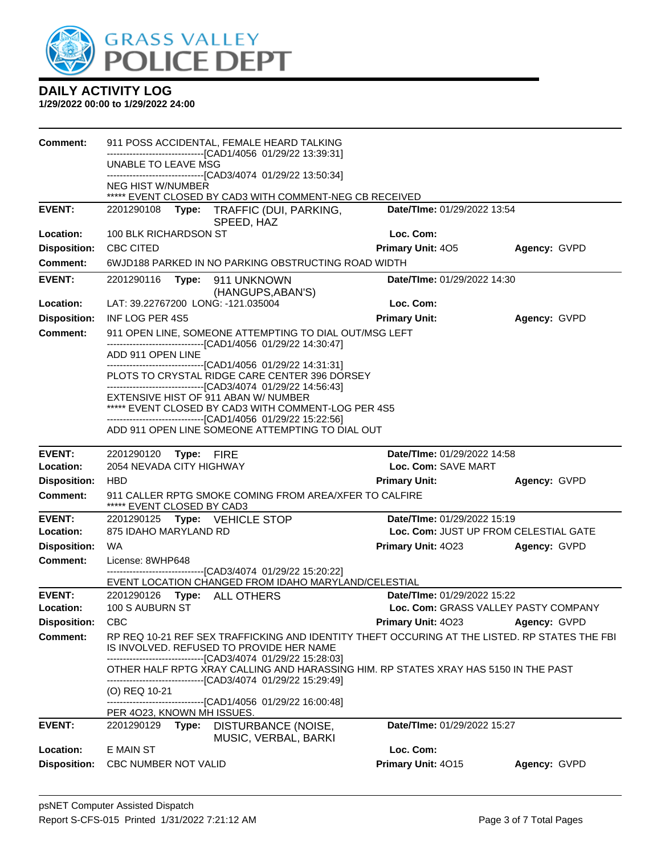

| Comment:                         | 911 POSS ACCIDENTAL, FEMALE HEARD TALKING                                                                                                     |                                       |              |  |  |
|----------------------------------|-----------------------------------------------------------------------------------------------------------------------------------------------|---------------------------------------|--------------|--|--|
|                                  | ---------------------------[CAD1/4056 01/29/22 13:39:31]<br>UNABLE TO LEAVE MSG                                                               |                                       |              |  |  |
|                                  | ------------------------------[CAD3/4074 01/29/22 13:50:34]                                                                                   |                                       |              |  |  |
|                                  | <b>NEG HIST W/NUMBER</b><br>***** EVENT CLOSED BY CAD3 WITH COMMENT-NEG CB RECEIVED                                                           |                                       |              |  |  |
| <b>EVENT:</b>                    | 2201290108 Type: TRAFFIC (DUI, PARKING,<br>SPEED, HAZ                                                                                         | <b>Date/Time: 01/29/2022 13:54</b>    |              |  |  |
| Location:                        | 100 BLK RICHARDSON ST                                                                                                                         | Loc. Com:                             |              |  |  |
| <b>Disposition:</b>              | CBC CITED                                                                                                                                     | Primary Unit: 405                     | Agency: GVPD |  |  |
| Comment:                         | 6WJD188 PARKED IN NO PARKING OBSTRUCTING ROAD WIDTH                                                                                           |                                       |              |  |  |
| <b>EVENT:</b>                    | 2201290116<br>Type: 911 UNKNOWN<br>(HANGUPS, ABAN'S)                                                                                          | Date/TIme: 01/29/2022 14:30           |              |  |  |
| Location:                        | LAT: 39.22767200 LONG: -121.035004                                                                                                            | Loc. Com:                             |              |  |  |
| <b>Disposition:</b>              | INF LOG PER 4S5                                                                                                                               | <b>Primary Unit:</b>                  | Agency: GVPD |  |  |
| <b>Comment:</b>                  | 911 OPEN LINE, SOMEONE ATTEMPTING TO DIAL OUT/MSG LEFT                                                                                        |                                       |              |  |  |
|                                  | ------------------------------[CAD1/4056 01/29/22 14:30:47]<br>ADD 911 OPEN LINE                                                              |                                       |              |  |  |
|                                  | --------------------------------[CAD1/4056 01/29/22 14:31:31]                                                                                 |                                       |              |  |  |
|                                  | PLOTS TO CRYSTAL RIDGE CARE CENTER 396 DORSEY<br>-------------------------------[CAD3/4074 01/29/22 14:56:43]                                 |                                       |              |  |  |
|                                  | EXTENSIVE HIST OF 911 ABAN W/ NUMBER                                                                                                          |                                       |              |  |  |
|                                  | ***** EVENT CLOSED BY CAD3 WITH COMMENT-LOG PER 4S5<br>--------------------------------[CAD1/4056 01/29/22 15:22:56]                          |                                       |              |  |  |
|                                  | ADD 911 OPEN LINE SOMEONE ATTEMPTING TO DIAL OUT                                                                                              |                                       |              |  |  |
| <b>EVENT:</b>                    | 2201290120 Type: FIRE                                                                                                                         | Date/Time: 01/29/2022 14:58           |              |  |  |
| Location:                        | 2054 NEVADA CITY HIGHWAY<br>Loc. Com: SAVE MART                                                                                               |                                       |              |  |  |
| <b>Disposition:</b>              | <b>HBD</b>                                                                                                                                    | <b>Primary Unit:</b>                  | Agency: GVPD |  |  |
| Comment:                         | 911 CALLER RPTG SMOKE COMING FROM AREA/XFER TO CALFIRE<br>***** EVENT CLOSED BY CAD3                                                          |                                       |              |  |  |
| <b>EVENT:</b>                    | 2201290125 Type: VEHICLE STOP                                                                                                                 | Date/TIme: 01/29/2022 15:19           |              |  |  |
| Location:                        | 875 IDAHO MARYLAND RD                                                                                                                         | Loc. Com: JUST UP FROM CELESTIAL GATE |              |  |  |
| <b>Disposition:</b>              | WA                                                                                                                                            | <b>Primary Unit: 4023</b>             | Agency: GVPD |  |  |
| <b>Comment:</b>                  | License: 8WHP648<br>-------------------------------[CAD3/4074 01/29/22 15:20:22]                                                              |                                       |              |  |  |
|                                  | EVENT LOCATION CHANGED FROM IDAHO MARYLAND/CELESTIAL                                                                                          |                                       |              |  |  |
| <b>EVENT:</b>                    | 2201290126 Type: ALL OTHERS                                                                                                                   | Date/TIme: 01/29/2022 15:22           |              |  |  |
| Location:                        | Loc. Com: GRASS VALLEY PASTY COMPANY<br>100 S AUBURN ST                                                                                       |                                       |              |  |  |
| <b>Disposition:</b>              | <b>CBC</b>                                                                                                                                    | Primary Unit: 4023                    | Agency: GVPD |  |  |
| <b>Comment:</b>                  | RP REQ 10-21 REF SEX TRAFFICKING AND IDENTITY THEFT OCCURING AT THE LISTED. RP STATES THE FBI<br>IS INVOLVED. REFUSED TO PROVIDE HER NAME     |                                       |              |  |  |
|                                  | -------------------------[CAD3/4074_01/29/22 15:28:03]<br>OTHER HALF RPTG XRAY CALLING AND HARASSING HIM. RP STATES XRAY HAS 5150 IN THE PAST |                                       |              |  |  |
|                                  |                                                                                                                                               |                                       |              |  |  |
|                                  | --------------------------------[CAD3/4074 01/29/22 15:29:49]                                                                                 |                                       |              |  |  |
|                                  | (O) REQ 10-21                                                                                                                                 |                                       |              |  |  |
|                                  | --------------[CAD1/4056 01/29/22 16:00:48]<br>PER 4023, KNOWN MH ISSUES.                                                                     |                                       |              |  |  |
| <b>EVENT:</b>                    | DISTURBANCE (NOISE,<br>2201290129<br>Type:                                                                                                    | Date/TIme: 01/29/2022 15:27           |              |  |  |
|                                  | MUSIC, VERBAL, BARKI                                                                                                                          |                                       |              |  |  |
| Location:<br><b>Disposition:</b> | E MAIN ST<br>CBC NUMBER NOT VALID                                                                                                             | Loc. Com:<br>Primary Unit: 4015       | Agency: GVPD |  |  |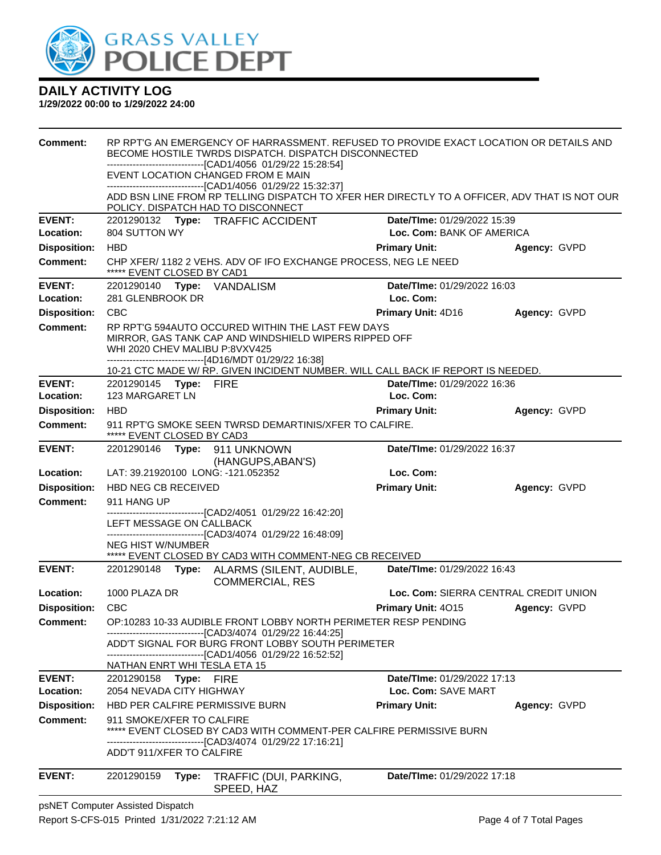

**1/29/2022 00:00 to 1/29/2022 24:00**

| <b>Comment:</b>            |                                                | RP RPT'G AN EMERGENCY OF HARRASSMENT. REFUSED TO PROVIDE EXACT LOCATION OR DETAILS AND<br>BECOME HOSTILE TWRDS DISPATCH. DISPATCH DISCONNECTED                         |                                          |              |
|----------------------------|------------------------------------------------|------------------------------------------------------------------------------------------------------------------------------------------------------------------------|------------------------------------------|--------------|
|                            |                                                | -------------------------[CAD1/4056_01/29/22 15:28:54]                                                                                                                 |                                          |              |
|                            |                                                | EVENT LOCATION CHANGED FROM E MAIN<br>-------------------------------[CAD1/4056 01/29/22 15:32:37]                                                                     |                                          |              |
|                            |                                                | ADD BSN LINE FROM RP TELLING DISPATCH TO XFER HER DIRECTLY TO A OFFICER, ADV THAT IS NOT OUR<br>POLICY. DISPATCH HAD TO DISCONNECT                                     |                                          |              |
| <b>EVENT:</b>              |                                                | 2201290132 Type: TRAFFIC ACCIDENT                                                                                                                                      | Date/TIme: 01/29/2022 15:39              |              |
| Location:                  | 804 SUTTON WY                                  |                                                                                                                                                                        | Loc. Com: BANK OF AMERICA                |              |
| <b>Disposition:</b>        | <b>HBD</b>                                     |                                                                                                                                                                        | <b>Primary Unit:</b>                     | Agency: GVPD |
| Comment:                   | ***** EVENT CLOSED BY CAD1                     | CHP XFER/ 1182 2 VEHS. ADV OF IFO EXCHANGE PROCESS, NEG LE NEED                                                                                                        |                                          |              |
| <b>EVENT:</b><br>Location: | 2201290140 Type: VANDALISM<br>281 GLENBROOK DR |                                                                                                                                                                        | Date/TIme: 01/29/2022 16:03<br>Loc. Com: |              |
| <b>Disposition:</b>        | <b>CBC</b>                                     |                                                                                                                                                                        | Primary Unit: 4D16                       | Agency: GVPD |
| Comment:                   | WHI 2020 CHEV MALIBU P:8VXV425                 | RP RPT'G 594AUTO OCCURED WITHIN THE LAST FEW DAYS<br>MIRROR, GAS TANK CAP AND WINDSHIELD WIPERS RIPPED OFF<br>-------------------------------[4D16/MDT 01/29/22 16:38] |                                          |              |
| <b>EVENT:</b>              | 2201290145 Type: FIRE                          | 10-21 CTC MADE W/ RP. GIVEN INCIDENT NUMBER. WILL CALL BACK IF REPORT IS NEEDED.                                                                                       | Date/TIme: 01/29/2022 16:36              |              |
| Location:                  | 123 MARGARET LN                                |                                                                                                                                                                        | Loc. Com:                                |              |
| <b>Disposition:</b>        | HBD                                            |                                                                                                                                                                        | <b>Primary Unit:</b>                     | Agency: GVPD |
| <b>Comment:</b>            | ***** EVENT CLOSED BY CAD3                     | 911 RPT'G SMOKE SEEN TWRSD DEMARTINIS/XFER TO CALFIRE.                                                                                                                 |                                          |              |
| <b>EVENT:</b>              | 2201290146                                     | Type: 911 UNKNOWN<br>(HANGUPS, ABAN'S)                                                                                                                                 | Date/TIme: 01/29/2022 16:37              |              |
| Location:                  | LAT: 39.21920100 LONG: -121.052352             |                                                                                                                                                                        | Loc. Com:                                |              |
| <b>Disposition:</b>        | <b>HBD NEG CB RECEIVED</b>                     |                                                                                                                                                                        | <b>Primary Unit:</b>                     | Agency: GVPD |
| Comment:                   | 911 HANG UP                                    |                                                                                                                                                                        |                                          |              |
|                            | LEFT MESSAGE ON CALLBACK                       | ------------------[CAD2/4051 01/29/22 16:42:20]                                                                                                                        |                                          |              |
|                            |                                                | --------------------------------[CAD3/4074 01/29/22 16:48:09]                                                                                                          |                                          |              |
|                            | <b>NEG HIST W/NUMBER</b>                       |                                                                                                                                                                        |                                          |              |
| <b>EVENT:</b>              |                                                | ***** EVENT CLOSED BY CAD3 WITH COMMENT-NEG CB RECEIVED<br>2201290148 Type: ALARMS (SILENT, AUDIBLE,<br><b>COMMERCIAL, RES</b>                                         | Date/TIme: 01/29/2022 16:43              |              |
| Location:                  | 1000 PLAZA DR                                  |                                                                                                                                                                        | Loc. Com: SIERRA CENTRAL CREDIT UNION    |              |
| <b>Disposition:</b>        | <b>CBC</b>                                     |                                                                                                                                                                        | Primary Unit: 4015                       | Agency: GVPD |
| <b>Comment:</b>            |                                                | OP:10283 10-33 AUDIBLE FRONT LOBBY NORTH PERIMETER RESP PENDING                                                                                                        |                                          |              |
|                            |                                                | -----------------------[CAD3/4074_01/29/22 16:44:25]<br>ADD'T SIGNAL FOR BURG FRONT LOBBY SOUTH PERIMETER                                                              |                                          |              |
|                            | <u>NATHAN ENRT WHI TESLA ETA 15</u>            | -------------------------------[CAD1/4056 01/29/22 16:52:52]                                                                                                           |                                          |              |
| <b>EVENT:</b>              | 2201290158                                     | <b>Type: FIRE</b>                                                                                                                                                      | Date/TIme: 01/29/2022 17:13              |              |
| Location:                  | 2054 NEVADA CITY HIGHWAY                       |                                                                                                                                                                        | Loc. Com: SAVE MART                      |              |
| <b>Disposition:</b>        | HBD PER CALFIRE PERMISSIVE BURN                |                                                                                                                                                                        | <b>Primary Unit:</b>                     | Agency: GVPD |
| Comment:                   | 911 SMOKE/XFER TO CALFIRE                      | EVENT CLOSED BY CAD3 WITH COMMENT-PER CALFIRE PERMISSIVE BURN                                                                                                          |                                          |              |
|                            | ADD'T 911/XFER TO CALFIRE                      | -------------------------[CAD3/4074_01/29/22 17:16:21]                                                                                                                 |                                          |              |
| <b>EVENT:</b>              | 2201290159<br>Type:                            | TRAFFIC (DUI, PARKING,<br>SPEED, HAZ                                                                                                                                   | Date/TIme: 01/29/2022 17:18              |              |

psNET Computer Assisted Dispatch Report S-CFS-015 Printed 1/31/2022 7:21:12 AM Page 4 of 7 Total Pages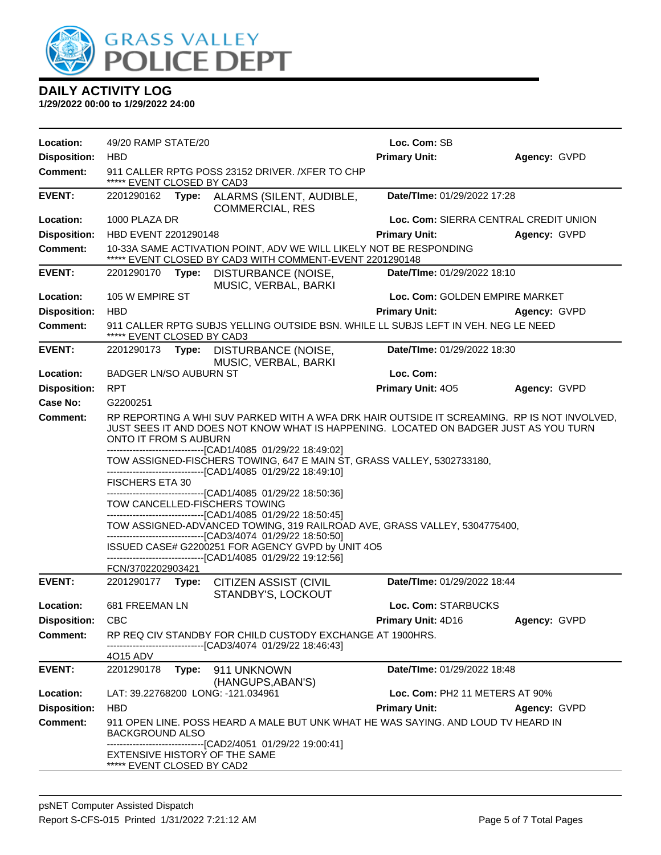

| Location:           | 49/20 RAMP STATE/20                                                                                                                                                                                          |                                                                                                                                           | Loc. Com: SB                          |              |  |
|---------------------|--------------------------------------------------------------------------------------------------------------------------------------------------------------------------------------------------------------|-------------------------------------------------------------------------------------------------------------------------------------------|---------------------------------------|--------------|--|
| <b>Disposition:</b> | <b>HBD</b>                                                                                                                                                                                                   |                                                                                                                                           | <b>Primary Unit:</b>                  | Agency: GVPD |  |
| <b>Comment:</b>     | ***** EVENT CLOSED BY CAD3                                                                                                                                                                                   | 911 CALLER RPTG POSS 23152 DRIVER. / XFER TO CHP                                                                                          |                                       |              |  |
| <b>EVENT:</b>       | 2201290162                                                                                                                                                                                                   | Type: ALARMS (SILENT, AUDIBLE,<br><b>COMMERCIAL, RES</b>                                                                                  | Date/TIme: 01/29/2022 17:28           |              |  |
| Location:           | 1000 PLAZA DR                                                                                                                                                                                                |                                                                                                                                           | Loc. Com: SIERRA CENTRAL CREDIT UNION |              |  |
| <b>Disposition:</b> | HBD EVENT 2201290148                                                                                                                                                                                         |                                                                                                                                           | <b>Primary Unit:</b>                  | Agency: GVPD |  |
| <b>Comment:</b>     |                                                                                                                                                                                                              | 10-33A SAME ACTIVATION POINT, ADV WE WILL LIKELY NOT BE RESPONDING<br>***** EVENT CLOSED BY CAD3 WITH COMMENT-EVENT 2201290148            |                                       |              |  |
| <b>EVENT:</b>       | 2201290170<br>Type:                                                                                                                                                                                          | DISTURBANCE (NOISE,<br>MUSIC, VERBAL, BARKI                                                                                               | Date/TIme: 01/29/2022 18:10           |              |  |
| Location:           | 105 W EMPIRE ST                                                                                                                                                                                              |                                                                                                                                           | Loc. Com: GOLDEN EMPIRE MARKET        |              |  |
| <b>Disposition:</b> | <b>HBD</b>                                                                                                                                                                                                   |                                                                                                                                           | <b>Primary Unit:</b>                  | Agency: GVPD |  |
| <b>Comment:</b>     | 911 CALLER RPTG SUBJS YELLING OUTSIDE BSN. WHILE LL SUBJS LEFT IN VEH. NEG LE NEED<br>***** EVENT CLOSED BY CAD3                                                                                             |                                                                                                                                           |                                       |              |  |
| <b>EVENT:</b>       | 2201290173 Type:                                                                                                                                                                                             | DISTURBANCE (NOISE,<br>MUSIC, VERBAL, BARKI                                                                                               | Date/TIme: 01/29/2022 18:30           |              |  |
| Location:           | <b>BADGER LN/SO AUBURN ST</b>                                                                                                                                                                                |                                                                                                                                           | Loc. Com:                             |              |  |
| <b>Disposition:</b> | <b>RPT</b>                                                                                                                                                                                                   |                                                                                                                                           | Primary Unit: 405                     | Agency: GVPD |  |
| Case No:            | G2200251                                                                                                                                                                                                     |                                                                                                                                           |                                       |              |  |
| Comment:            | RP REPORTING A WHI SUV PARKED WITH A WFA DRK HAIR OUTSIDE IT SCREAMING. RP IS NOT INVOLVED,<br>JUST SEES IT AND DOES NOT KNOW WHAT IS HAPPENING. LOCATED ON BADGER JUST AS YOU TURN<br>ONTO IT FROM S AUBURN |                                                                                                                                           |                                       |              |  |
|                     | -------------------------------[CAD1/4085 01/29/22 18:49:02]<br>TOW ASSIGNED-FISCHERS TOWING, 647 E MAIN ST, GRASS VALLEY, 5302733180,<br>-------------------------------[CAD1/4085 01/29/22 18:49:10]       |                                                                                                                                           |                                       |              |  |
|                     | <b>FISCHERS ETA 30</b>                                                                                                                                                                                       |                                                                                                                                           |                                       |              |  |
|                     | TOW CANCELLED-FISCHERS TOWING                                                                                                                                                                                | -------------------------------[CAD1/4085 01/29/22 18:50:36]<br>-------------------------------[CAD1/4085 01/29/22 18:50:45]              |                                       |              |  |
|                     |                                                                                                                                                                                                              | TOW ASSIGNED-ADVANCED TOWING, 319 RAILROAD AVE, GRASS VALLEY, 5304775400,<br>-------------------------------[CAD3/4074 01/29/22 18:50:50] |                                       |              |  |
|                     |                                                                                                                                                                                                              | ISSUED CASE# G2200251 FOR AGENCY GVPD by UNIT 4O5                                                                                         |                                       |              |  |
|                     | FCN/3702202903421                                                                                                                                                                                            | -------------------------------[CAD1/4085 01/29/22 19:12:56]                                                                              |                                       |              |  |
| <b>EVENT:</b>       |                                                                                                                                                                                                              | 2201290177 Type: CITIZEN ASSIST (CIVIL<br>STANDBY'S, LOCKOUT                                                                              | Date/TIme: 01/29/2022 18:44           |              |  |
| Location:           | 681 FREEMAN LN                                                                                                                                                                                               |                                                                                                                                           | Loc. Com: STARBUCKS                   |              |  |
| <b>Disposition:</b> | <b>CBC</b>                                                                                                                                                                                                   |                                                                                                                                           | Primary Unit: 4D16                    | Agency: GVPD |  |
| Comment:            |                                                                                                                                                                                                              | RP REQ CIV STANDBY FOR CHILD CUSTODY EXCHANGE AT 1900HRS.<br>------------------------[CAD3/4074_01/29/22 18:46:43]                        |                                       |              |  |
|                     | 4O15 ADV                                                                                                                                                                                                     |                                                                                                                                           |                                       |              |  |
| <b>EVENT:</b>       | 2201290178<br>Type:                                                                                                                                                                                          | 911 UNKNOWN<br>(HANGUPS, ABAN'S)                                                                                                          | Date/TIme: 01/29/2022 18:48           |              |  |
| Location:           | LAT: 39.22768200 LONG: -121.034961                                                                                                                                                                           |                                                                                                                                           | Loc. Com: PH2 11 METERS AT 90%        |              |  |
| <b>Disposition:</b> | <b>HBD</b>                                                                                                                                                                                                   |                                                                                                                                           | <b>Primary Unit:</b>                  | Agency: GVPD |  |
| <b>Comment:</b>     | BACKGROUND ALSO                                                                                                                                                                                              | 911 OPEN LINE. POSS HEARD A MALE BUT UNK WHAT HE WAS SAYING. AND LOUD TV HEARD IN                                                         |                                       |              |  |
|                     | EXTENSIVE HISTORY OF THE SAME<br>***** EVENT CLOSED BY CAD2                                                                                                                                                  | -------------------------------[CAD2/4051 01/29/22 19:00:41]                                                                              |                                       |              |  |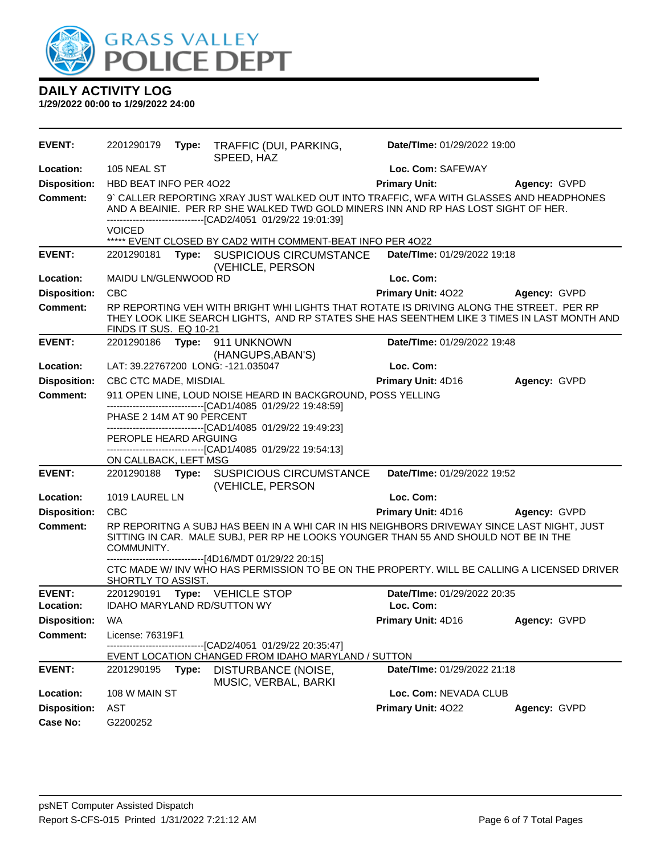

| <b>EVENT:</b>              | 2201290179                                                                                                                                                                                                                                   |       | Type: TRAFFIC (DUI, PARKING,<br>SPEED, HAZ                                                                                                                                             | Date/TIme: 01/29/2022 19:00              |              |
|----------------------------|----------------------------------------------------------------------------------------------------------------------------------------------------------------------------------------------------------------------------------------------|-------|----------------------------------------------------------------------------------------------------------------------------------------------------------------------------------------|------------------------------------------|--------------|
| Location:                  | 105 NEAL ST                                                                                                                                                                                                                                  |       |                                                                                                                                                                                        | Loc. Com: SAFEWAY                        |              |
| <b>Disposition:</b>        | HBD BEAT INFO PER 4022                                                                                                                                                                                                                       |       |                                                                                                                                                                                        | <b>Primary Unit:</b>                     | Agency: GVPD |
| <b>Comment:</b>            | 9' CALLER REPORTING XRAY JUST WALKED OUT INTO TRAFFIC, WFA WITH GLASSES AND HEADPHONES<br>AND A BEAINIE. PER RP SHE WALKED TWD GOLD MINERS INN AND RP HAS LOST SIGHT OF HER.<br>-------------------------------[CAD2/4051 01/29/22 19:01:39] |       |                                                                                                                                                                                        |                                          |              |
|                            | <b>VOICED</b>                                                                                                                                                                                                                                |       | ***** EVENT CLOSED BY CAD2 WITH COMMENT-BEAT INFO PER 4022                                                                                                                             |                                          |              |
| <b>EVENT:</b>              | 2201290181                                                                                                                                                                                                                                   |       | Type: SUSPICIOUS CIRCUMSTANCE<br>(VEHICLE, PERSON                                                                                                                                      | Date/TIme: 01/29/2022 19:18              |              |
| Location:                  | MAIDU LN/GLENWOOD RD                                                                                                                                                                                                                         |       |                                                                                                                                                                                        | Loc. Com:                                |              |
| <b>Disposition:</b>        | <b>CBC</b>                                                                                                                                                                                                                                   |       |                                                                                                                                                                                        | <b>Primary Unit: 4022</b>                | Agency: GVPD |
| <b>Comment:</b>            | FINDS IT SUS. EQ 10-21                                                                                                                                                                                                                       |       | RP REPORTING VEH WITH BRIGHT WHI LIGHTS THAT ROTATE IS DRIVING ALONG THE STREET. PER RP<br>THEY LOOK LIKE SEARCH LIGHTS, AND RP STATES SHE HAS SEENTHEM LIKE 3 TIMES IN LAST MONTH AND |                                          |              |
| <b>EVENT:</b>              |                                                                                                                                                                                                                                              |       | 2201290186    Type: 911    UNKNOWN<br>(HANGUPS, ABAN'S)                                                                                                                                | Date/TIme: 01/29/2022 19:48              |              |
| Location:                  |                                                                                                                                                                                                                                              |       | LAT: 39.22767200 LONG: -121.035047                                                                                                                                                     | Loc. Com:                                |              |
| <b>Disposition:</b>        | CBC CTC MADE, MISDIAL                                                                                                                                                                                                                        |       |                                                                                                                                                                                        | <b>Primary Unit: 4D16</b>                | Agency: GVPD |
| <b>Comment:</b>            |                                                                                                                                                                                                                                              |       | 911 OPEN LINE, LOUD NOISE HEARD IN BACKGROUND, POSS YELLING                                                                                                                            |                                          |              |
|                            | -------------------------------[CAD1/4085 01/29/22 19:48:59]<br>PHASE 2 14M AT 90 PERCENT                                                                                                                                                    |       |                                                                                                                                                                                        |                                          |              |
|                            | ------------------------------[CAD1/4085 01/29/22 19:49:23]<br>PEROPLE HEARD ARGUING                                                                                                                                                         |       |                                                                                                                                                                                        |                                          |              |
|                            |                                                                                                                                                                                                                                              |       | -------------------------------[CAD1/4085 01/29/22 19:54:13]                                                                                                                           |                                          |              |
|                            | ON CALLBACK, LEFT MSG                                                                                                                                                                                                                        |       |                                                                                                                                                                                        |                                          |              |
| <b>EVENT:</b>              |                                                                                                                                                                                                                                              |       | 2201290188 Type: SUSPICIOUS CIRCUMSTANCE<br>(VEHICLE, PERSON                                                                                                                           | Date/TIme: 01/29/2022 19:52              |              |
| Location:                  | 1019 LAUREL LN                                                                                                                                                                                                                               |       |                                                                                                                                                                                        | Loc. Com:                                |              |
| <b>Disposition:</b>        | <b>CBC</b>                                                                                                                                                                                                                                   |       |                                                                                                                                                                                        | Primary Unit: 4D16                       | Agency: GVPD |
| <b>Comment:</b>            | COMMUNITY.                                                                                                                                                                                                                                   |       | RP REPORITNG A SUBJ HAS BEEN IN A WHI CAR IN HIS NEIGHBORS DRIVEWAY SINCE LAST NIGHT, JUST<br>SITTING IN CAR. MALE SUBJ, PER RP HE LOOKS YOUNGER THAN 55 AND SHOULD NOT BE IN THE      |                                          |              |
|                            | SHORTLY TO ASSIST.                                                                                                                                                                                                                           |       | ------------------------------[4D16/MDT 01/29/22 20:15]<br>CTC MADE W/ INV WHO HAS PERMISSION TO BE ON THE PROPERTY. WILL BE CALLING A LICENSED DRIVER                                 |                                          |              |
| <b>EVENT:</b><br>Location: | IDAHO MARYLAND RD/SUTTON WY                                                                                                                                                                                                                  |       | 2201290191 Type: VEHICLE STOP                                                                                                                                                          | Date/TIme: 01/29/2022 20:35<br>Loc. Com: |              |
| <b>Disposition: WA</b>     |                                                                                                                                                                                                                                              |       |                                                                                                                                                                                        | <b>Primary Unit: 4D16</b>                | Agency: GVPD |
| <b>Comment:</b>            | License: 76319F1                                                                                                                                                                                                                             |       |                                                                                                                                                                                        |                                          |              |
|                            |                                                                                                                                                                                                                                              |       | ----------------[CAD2/4051 01/29/22 20:35:47]<br>EVENT LOCATION CHANGED FROM IDAHO MARYLAND / SUTTON                                                                                   |                                          |              |
| <b>EVENT:</b>              | 2201290195                                                                                                                                                                                                                                   | Type: | DISTURBANCE (NOISE,<br>MUSIC, VERBAL, BARKI                                                                                                                                            | Date/TIme: 01/29/2022 21:18              |              |
| Location:                  | 108 W MAIN ST                                                                                                                                                                                                                                |       |                                                                                                                                                                                        | Loc. Com: NEVADA CLUB                    |              |
| <b>Disposition:</b>        | AST                                                                                                                                                                                                                                          |       |                                                                                                                                                                                        | Primary Unit: 4022                       | Agency: GVPD |
| <b>Case No:</b>            | G2200252                                                                                                                                                                                                                                     |       |                                                                                                                                                                                        |                                          |              |